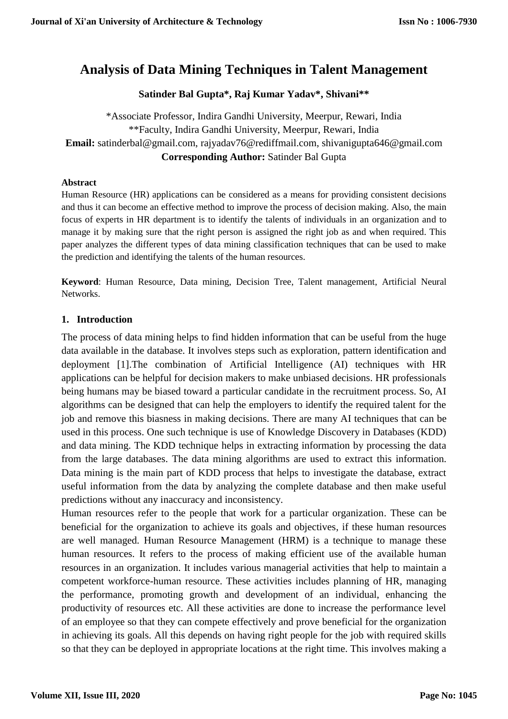# **Analysis of Data Mining Techniques in Talent Management**

## **Satinder Bal Gupta\*, Raj Kumar Yadav\*, Shivani\*\***

\*Associate Professor, Indira Gandhi University, Meerpur, Rewari, India \*\*Faculty, Indira Gandhi University, Meerpur, Rewari, India **Email:** satinderbal@gmail.com, rajyadav76@rediffmail.com, shivanigupta646@gmail.com **Corresponding Author:** Satinder Bal Gupta

#### **Abstract**

Human Resource (HR) applications can be considered as a means for providing consistent decisions and thus it can become an effective method to improve the process of decision making. Also, the main focus of experts in HR department is to identify the talents of individuals in an organization and to manage it by making sure that the right person is assigned the right job as and when required. This paper analyzes the different types of data mining classification techniques that can be used to make the prediction and identifying the talents of the human resources.

**Keyword**: Human Resource, Data mining, Decision Tree, Talent management, Artificial Neural Networks.

#### **1. Introduction**

The process of data mining helps to find hidden information that can be useful from the huge data available in the database. It involves steps such as exploration, pattern identification and deployment [1].The combination of Artificial Intelligence (AI) techniques with HR applications can be helpful for decision makers to make unbiased decisions. HR professionals being humans may be biased toward a particular candidate in the recruitment process. So, AI algorithms can be designed that can help the employers to identify the required talent for the job and remove this biasness in making decisions. There are many AI techniques that can be used in this process. One such technique is use of Knowledge Discovery in Databases (KDD) and data mining. The KDD technique helps in extracting information by processing the data from the large databases. The data mining algorithms are used to extract this information. Data mining is the main part of KDD process that helps to investigate the database, extract useful information from the data by analyzing the complete database and then make useful predictions without any inaccuracy and inconsistency.

Human resources refer to the people that work for a particular organization. These can be beneficial for the organization to achieve its goals and objectives, if these human resources are well managed. Human Resource Management (HRM) is a technique to manage these human resources. It refers to the process of making efficient use of the available human resources in an organization. It includes various managerial activities that help to maintain a competent workforce-human resource. These activities includes planning of HR, managing the performance, promoting growth and development of an individual, enhancing the productivity of resources etc. All these activities are done to increase the performance level of an employee so that they can compete effectively and prove beneficial for the organization in achieving its goals. All this depends on having right people for the job with required skills so that they can be deployed in appropriate locations at the right time. This involves making a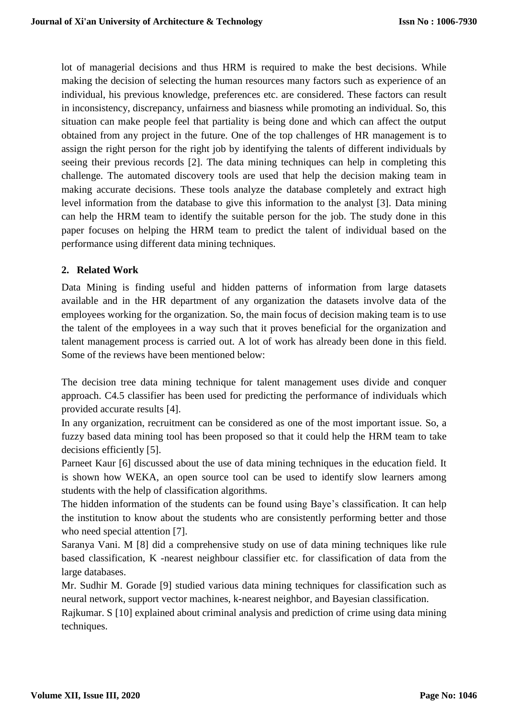lot of managerial decisions and thus HRM is required to make the best decisions. While making the decision of selecting the human resources many factors such as experience of an individual, his previous knowledge, preferences etc. are considered. These factors can result in inconsistency, discrepancy, unfairness and biasness while promoting an individual. So, this situation can make people feel that partiality is being done and which can affect the output obtained from any project in the future. One of the top challenges of HR management is to assign the right person for the right job by identifying the talents of different individuals by seeing their previous records [2]. The data mining techniques can help in completing this challenge. The automated discovery tools are used that help the decision making team in making accurate decisions. These tools analyze the database completely and extract high level information from the database to give this information to the analyst [3]. Data mining can help the HRM team to identify the suitable person for the job. The study done in this paper focuses on helping the HRM team to predict the talent of individual based on the performance using different data mining techniques.

## **2. Related Work**

Data Mining is finding useful and hidden patterns of information from large datasets available and in the HR department of any organization the datasets involve data of the employees working for the organization. So, the main focus of decision making team is to use the talent of the employees in a way such that it proves beneficial for the organization and talent management process is carried out. A lot of work has already been done in this field. Some of the reviews have been mentioned below:

The decision tree data mining technique for talent management uses divide and conquer approach. C4.5 classifier has been used for predicting the performance of individuals which provided accurate results [4].

In any organization, recruitment can be considered as one of the most important issue. So, a fuzzy based data mining tool has been proposed so that it could help the HRM team to take decisions efficiently [5].

Parneet Kaur [6] discussed about the use of data mining techniques in the education field. It is shown how WEKA, an open source tool can be used to identify slow learners among students with the help of classification algorithms.

The hidden information of the students can be found using Baye's classification. It can help the institution to know about the students who are consistently performing better and those who need special attention [7].

Saranya Vani. M [8] did a comprehensive study on use of data mining techniques like rule based classification, K -nearest neighbour classifier etc. for classification of data from the large databases.

Mr. Sudhir M. Gorade [9] studied various data mining techniques for classification such as neural network, support vector machines, k-nearest neighbor, and Bayesian classification.

Rajkumar. S [10] explained about criminal analysis and prediction of crime using data mining techniques.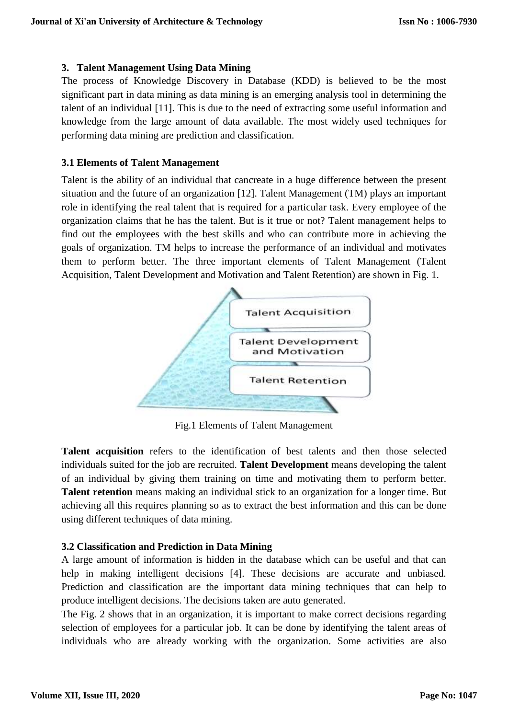#### **3. Talent Management Using Data Mining**

The process of Knowledge Discovery in Database (KDD) is believed to be the most significant part in data mining as data mining is an emerging analysis tool in determining the talent of an individual [11]. This is due to the need of extracting some useful information and knowledge from the large amount of data available. The most widely used techniques for performing data mining are prediction and classification.

#### **3.1 Elements of Talent Management**

Talent is the ability of an individual that cancreate in a huge difference between the present situation and the future of an organization [12]. Talent Management (TM) plays an important role in identifying the real talent that is required for a particular task. Every employee of the organization claims that he has the talent. But is it true or not? Talent management helps to find out the employees with the best skills and who can contribute more in achieving the goals of organization. TM helps to increase the performance of an individual and motivates them to perform better. The three important elements of Talent Management (Talent Acquisition, Talent Development and Motivation and Talent Retention) are shown in Fig. 1.



Fig.1 Elements of Talent Management

**Talent acquisition** refers to the identification of best talents and then those selected individuals suited for the job are recruited. **Talent Development** means developing the talent of an individual by giving them training on time and motivating them to perform better. **Talent retention** means making an individual stick to an organization for a longer time. But achieving all this requires planning so as to extract the best information and this can be done using different techniques of data mining.

## **3.2 Classification and Prediction in Data Mining**

A large amount of information is hidden in the database which can be useful and that can help in making intelligent decisions [4]. These decisions are accurate and unbiased. Prediction and classification are the important data mining techniques that can help to produce intelligent decisions. The decisions taken are auto generated.

The Fig. 2 shows that in an organization, it is important to make correct decisions regarding selection of employees for a particular job. It can be done by identifying the talent areas of individuals who are already working with the organization. Some activities are also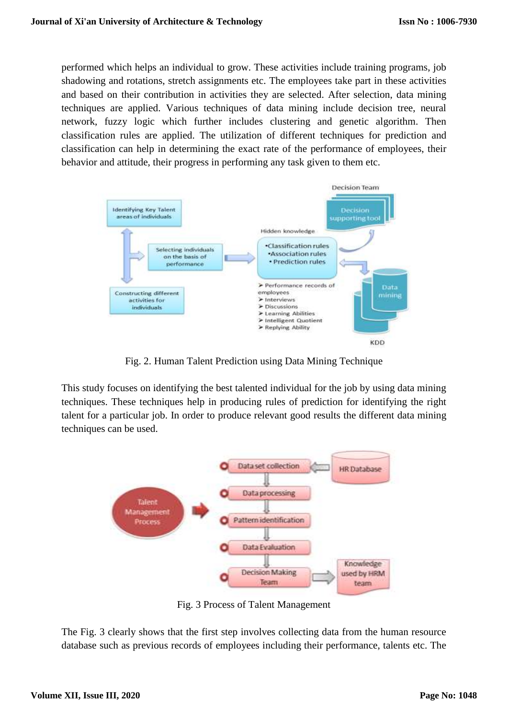performed which helps an individual to grow. These activities include training programs, job shadowing and rotations, stretch assignments etc. The employees take part in these activities and based on their contribution in activities they are selected. After selection, data mining techniques are applied. Various techniques of data mining include decision tree, neural network, fuzzy logic which further includes clustering and genetic algorithm. Then classification rules are applied. The utilization of different techniques for prediction and classification can help in determining the exact rate of the performance of employees, their behavior and attitude, their progress in performing any task given to them etc.



Fig. 2. Human Talent Prediction using Data Mining Technique

This study focuses on identifying the best talented individual for the job by using data mining techniques. These techniques help in producing rules of prediction for identifying the right talent for a particular job. In order to produce relevant good results the different data mining techniques can be used.



Fig. 3 Process of Talent Management

The Fig. 3 clearly shows that the first step involves collecting data from the human resource database such as previous records of employees including their performance, talents etc. The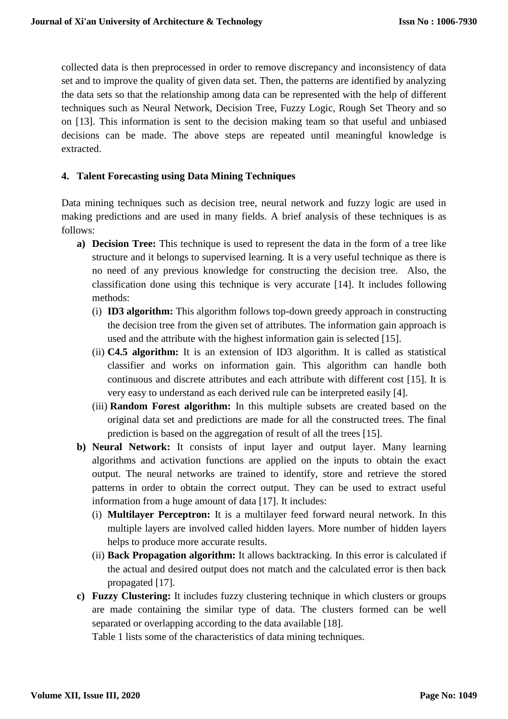collected data is then preprocessed in order to remove discrepancy and inconsistency of data set and to improve the quality of given data set. Then, the patterns are identified by analyzing the data sets so that the relationship among data can be represented with the help of different techniques such as Neural Network, Decision Tree, Fuzzy Logic, Rough Set Theory and so on [13]. This information is sent to the decision making team so that useful and unbiased decisions can be made. The above steps are repeated until meaningful knowledge is extracted.

#### **4. Talent Forecasting using Data Mining Techniques**

Data mining techniques such as decision tree, neural network and fuzzy logic are used in making predictions and are used in many fields. A brief analysis of these techniques is as follows:

- **a) Decision Tree:** This technique is used to represent the data in the form of a tree like structure and it belongs to supervised learning. It is a very useful technique as there is no need of any previous knowledge for constructing the decision tree. Also, the classification done using this technique is very accurate [14]. It includes following methods:
	- (i) **ID3 algorithm:** This algorithm follows top-down greedy approach in constructing the decision tree from the given set of attributes. The information gain approach is used and the attribute with the highest information gain is selected [15].
	- (ii) **C4.5 algorithm:** It is an extension of ID3 algorithm. It is called as statistical classifier and works on information gain. This algorithm can handle both continuous and discrete attributes and each attribute with different cost [15]. It is very easy to understand as each derived rule can be interpreted easily [4].
	- (iii) **Random Forest algorithm:** In this multiple subsets are created based on the original data set and predictions are made for all the constructed trees. The final prediction is based on the aggregation of result of all the trees [15].
- **b) Neural Network:** It consists of input layer and output layer. Many learning algorithms and activation functions are applied on the inputs to obtain the exact output. The neural networks are trained to identify, store and retrieve the stored patterns in order to obtain the correct output. They can be used to extract useful information from a huge amount of data [17]. It includes:
	- (i) **Multilayer Perceptron:** It is a multilayer feed forward neural network. In this multiple layers are involved called hidden layers. More number of hidden layers helps to produce more accurate results.
	- (ii) **Back Propagation algorithm:** It allows backtracking. In this error is calculated if the actual and desired output does not match and the calculated error is then back propagated [17].
- **c) Fuzzy Clustering:** It includes fuzzy clustering technique in which clusters or groups are made containing the similar type of data. The clusters formed can be well separated or overlapping according to the data available [18].

Table 1 lists some of the characteristics of data mining techniques.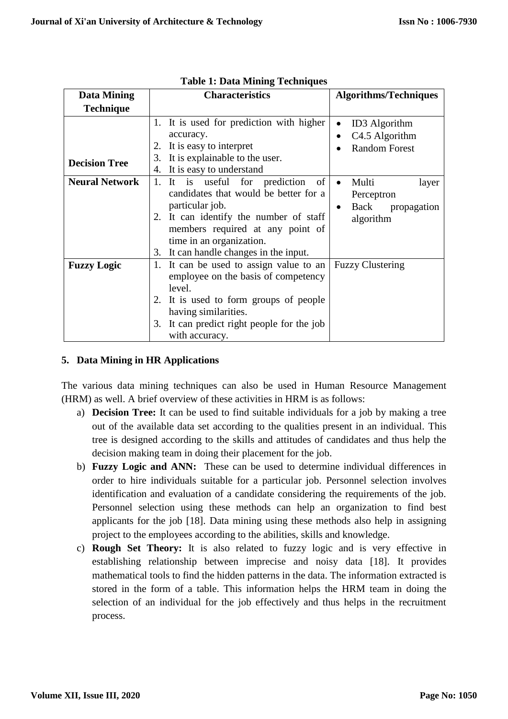| <b>Data Mining</b>    | <b>Characteristics</b>                                                                                                                                                                                                                               | <b>Algorithms/Techniques</b>                                                            |
|-----------------------|------------------------------------------------------------------------------------------------------------------------------------------------------------------------------------------------------------------------------------------------------|-----------------------------------------------------------------------------------------|
| <b>Technique</b>      |                                                                                                                                                                                                                                                      |                                                                                         |
| <b>Decision Tree</b>  | 1. It is used for prediction with higher<br>accuracy.<br>It is easy to interpret<br>2.<br>It is explainable to the user.<br>3.<br>4. It is easy to understand                                                                                        | <b>ID3</b> Algorithm<br>C <sub>4.5</sub> Algorithm<br>$\bullet$<br><b>Random Forest</b> |
| <b>Neural Network</b> | 1. It is useful for prediction<br>of<br>candidates that would be better for a<br>particular job.<br>2. It can identify the number of staff<br>members required at any point of<br>time in an organization.<br>3. It can handle changes in the input. | Multi<br>layer<br>$\bullet$<br>Perceptron<br>Back propagation<br>$\bullet$<br>algorithm |
| <b>Fuzzy Logic</b>    | 1. It can be used to assign value to an<br>employee on the basis of competency<br>level.<br>2. It is used to form groups of people<br>having similarities.<br>It can predict right people for the job<br>3.<br>with accuracy.                        | <b>Fuzzy Clustering</b>                                                                 |

## **Table 1: Data Mining Techniques**

## **5. Data Mining in HR Applications**

The various data mining techniques can also be used in Human Resource Management (HRM) as well. A brief overview of these activities in HRM is as follows:

- a) **Decision Tree:** It can be used to find suitable individuals for a job by making a tree out of the available data set according to the qualities present in an individual. This tree is designed according to the skills and attitudes of candidates and thus help the decision making team in doing their placement for the job.
- b) **Fuzzy Logic and ANN:** These can be used to determine individual differences in order to hire individuals suitable for a particular job. Personnel selection involves identification and evaluation of a candidate considering the requirements of the job. Personnel selection using these methods can help an organization to find best applicants for the job [18]. Data mining using these methods also help in assigning project to the employees according to the abilities, skills and knowledge.
- c) **Rough Set Theory:** It is also related to fuzzy logic and is very effective in establishing relationship between imprecise and noisy data [18]. It provides mathematical tools to find the hidden patterns in the data. The information extracted is stored in the form of a table. This information helps the HRM team in doing the selection of an individual for the job effectively and thus helps in the recruitment process.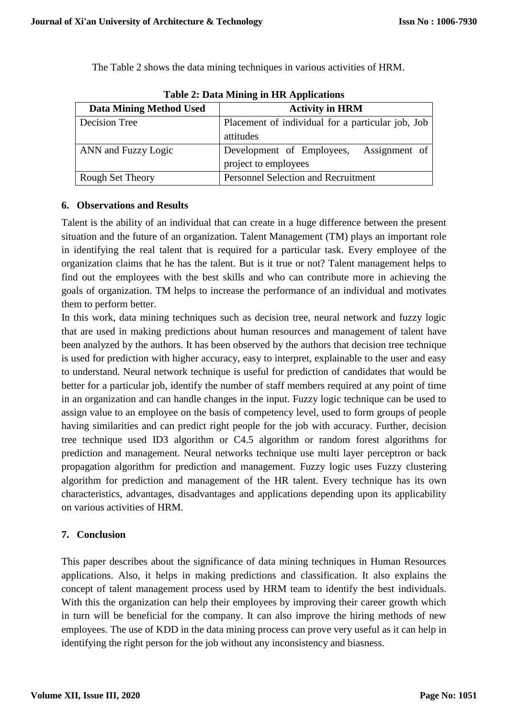The Table 2 shows the data mining techniques in various activities of HRM.

| Table 2. Data Milling in TIR Applications |                                                   |  |
|-------------------------------------------|---------------------------------------------------|--|
| <b>Data Mining Method Used</b>            | <b>Activity in HRM</b>                            |  |
| Decision Tree                             | Placement of individual for a particular job, Job |  |
|                                           | attitudes                                         |  |
| ANN and Fuzzy Logic                       | Assignment of<br>Development of Employees,        |  |
|                                           | project to employees                              |  |
| <b>Rough Set Theory</b>                   | <b>Personnel Selection and Recruitment</b>        |  |

**Table 2: Data Mining in HR Applications**

## **6. Observations and Results**

Talent is the ability of an individual that can create in a huge difference between the present situation and the future of an organization. Talent Management (TM) plays an important role in identifying the real talent that is required for a particular task. Every employee of the organization claims that he has the talent. But is it true or not? Talent management helps to find out the employees with the best skills and who can contribute more in achieving the goals of organization. TM helps to increase the performance of an individual and motivates them to perform better.

In this work, data mining techniques such as decision tree, neural network and fuzzy logic that are used in making predictions about human resources and management of talent have been analyzed by the authors. It has been observed by the authors that decision tree technique is used for prediction with higher accuracy, easy to interpret, explainable to the user and easy to understand. Neural network technique is useful for prediction of candidates that would be better for a particular job, identify the number of staff members required at any point of time in an organization and can handle changes in the input. Fuzzy logic technique can be used to assign value to an employee on the basis of competency level, used to form groups of people having similarities and can predict right people for the job with accuracy. Further, decision tree technique used ID3 algorithm or C4.5 algorithm or random forest algorithms for prediction and management. Neural networks technique use multi layer perceptron or back propagation algorithm for prediction and management. Fuzzy logic uses Fuzzy clustering algorithm for prediction and management of the HR talent. Every technique has its own characteristics, advantages, disadvantages and applications depending upon its applicability on various activities of HRM.

## **7. Conclusion**

This paper describes about the significance of data mining techniques in Human Resources applications. Also, it helps in making predictions and classification. It also explains the concept of talent management process used by HRM team to identify the best individuals. With this the organization can help their employees by improving their career growth which in turn will be beneficial for the company. It can also improve the hiring methods of new employees. The use of KDD in the data mining process can prove very useful as it can help in identifying the right person for the job without any inconsistency and biasness.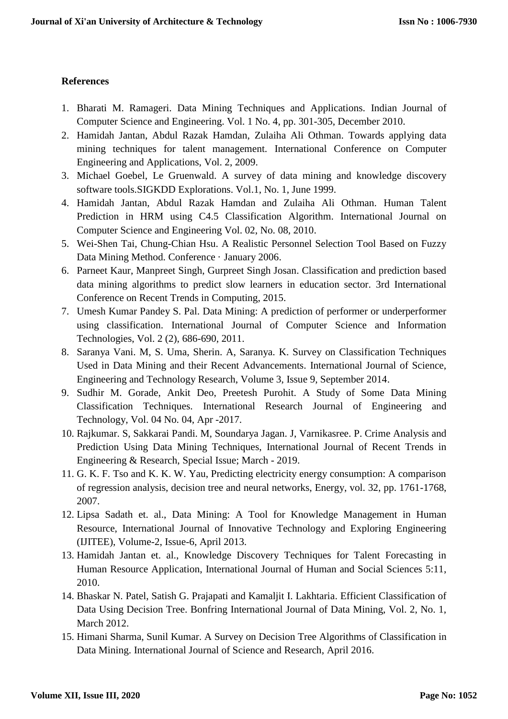#### **References**

- 1. Bharati M. Ramageri. Data Mining Techniques and Applications. Indian Journal of Computer Science and Engineering. Vol. 1 No. 4, pp. 301-305, December 2010.
- 2. Hamidah Jantan, Abdul Razak Hamdan, Zulaiha Ali Othman. Towards applying data mining techniques for talent management. International Conference on Computer Engineering and Applications, Vol. 2, 2009.
- 3. Michael Goebel, Le Gruenwald. A survey of data mining and knowledge discovery software tools.SIGKDD Explorations. Vol.1, No. 1, June 1999.
- 4. Hamidah Jantan, Abdul Razak Hamdan and Zulaiha Ali Othman. Human Talent Prediction in HRM using C4.5 Classification Algorithm. International Journal on Computer Science and Engineering Vol. 02, No. 08, 2010.
- 5. Wei-Shen Tai, Chung-Chian Hsu. A Realistic Personnel Selection Tool Based on Fuzzy Data Mining Method. Conference · January 2006.
- 6. Parneet Kaur, Manpreet Singh, Gurpreet Singh Josan. Classification and prediction based data mining algorithms to predict slow learners in education sector. 3rd International Conference on Recent Trends in Computing, 2015.
- 7. Umesh Kumar Pandey S. Pal. Data Mining: A prediction of performer or underperformer using classification. International Journal of Computer Science and Information Technologies, Vol. 2 (2), 686-690, 2011.
- 8. Saranya Vani. M, S. Uma, Sherin. A, Saranya. K. Survey on Classification Techniques Used in Data Mining and their Recent Advancements. International Journal of Science, Engineering and Technology Research, Volume 3, Issue 9, September 2014.
- 9. Sudhir M. Gorade, Ankit Deo, Preetesh Purohit. A Study of Some Data Mining Classification Techniques. International Research Journal of Engineering and Technology, Vol. 04 No. 04, Apr -2017.
- 10. Rajkumar. S, Sakkarai Pandi. M, Soundarya Jagan. J, Varnikasree. P. Crime Analysis and Prediction Using Data Mining Techniques, International Journal of Recent Trends in Engineering & Research, Special Issue; March - 2019.
- 11. G. K. F. Tso and K. K. W. Yau, Predicting electricity energy consumption: A comparison of regression analysis, decision tree and neural networks, Energy, vol. 32, pp. 1761-1768, 2007.
- 12. Lipsa Sadath et. al., Data Mining: A Tool for Knowledge Management in Human Resource, International Journal of Innovative Technology and Exploring Engineering (IJITEE), Volume-2, Issue-6, April 2013.
- 13. Hamidah Jantan et. al., Knowledge Discovery Techniques for Talent Forecasting in Human Resource Application, International Journal of Human and Social Sciences 5:11, 2010.
- 14. Bhaskar N. Patel, Satish G. Prajapati and Kamaljit I. Lakhtaria. Efficient Classification of Data Using Decision Tree. Bonfring International Journal of Data Mining, Vol. 2, No. 1, March 2012.
- 15. Himani Sharma, Sunil Kumar. A Survey on Decision Tree Algorithms of Classification in Data Mining. International Journal of Science and Research, April 2016.